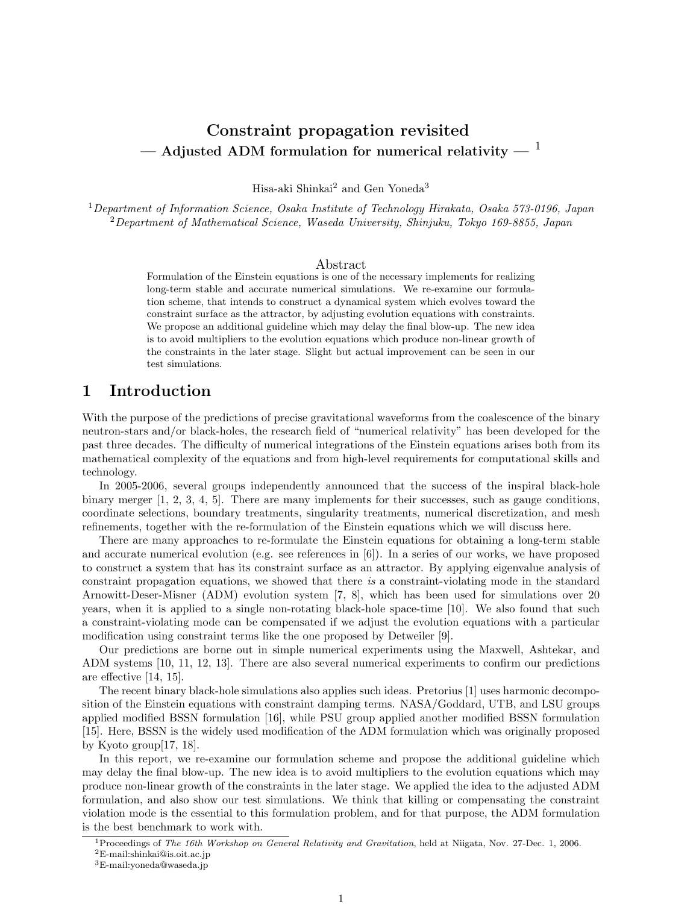# Constraint propagation revisited — Adjusted ADM formulation for numerical relativity —  $1$

Hisa-aki Shinkai<sup>2</sup> and Gen Yoneda<sup>3</sup>

 $1$ Department of Information Science, Osaka Institute of Technology Hirakata, Osaka 573-0196, Japan <sup>2</sup>Department of Mathematical Science, Waseda University, Shinjuku, Tokyo 169-8855, Japan

#### Abstract

Formulation of the Einstein equations is one of the necessary implements for realizing long-term stable and accurate numerical simulations. We re-examine our formulation scheme, that intends to construct a dynamical system which evolves toward the constraint surface as the attractor, by adjusting evolution equations with constraints. We propose an additional guideline which may delay the final blow-up. The new idea is to avoid multipliers to the evolution equations which produce non-linear growth of the constraints in the later stage. Slight but actual improvement can be seen in our test simulations.

## 1 Introduction

With the purpose of the predictions of precise gravitational waveforms from the coalescence of the binary neutron-stars and/or black-holes, the research field of "numerical relativity" has been developed for the past three decades. The difficulty of numerical integrations of the Einstein equations arises both from its mathematical complexity of the equations and from high-level requirements for computational skills and technology.

In 2005-2006, several groups independently announced that the success of the inspiral black-hole binary merger [1, 2, 3, 4, 5]. There are many implements for their successes, such as gauge conditions, coordinate selections, boundary treatments, singularity treatments, numerical discretization, and mesh refinements, together with the re-formulation of the Einstein equations which we will discuss here.

There are many approaches to re-formulate the Einstein equations for obtaining a long-term stable and accurate numerical evolution (e.g. see references in [6]). In a series of our works, we have proposed to construct a system that has its constraint surface as an attractor. By applying eigenvalue analysis of constraint propagation equations, we showed that there is a constraint-violating mode in the standard Arnowitt-Deser-Misner (ADM) evolution system [7, 8], which has been used for simulations over 20 years, when it is applied to a single non-rotating black-hole space-time [10]. We also found that such a constraint-violating mode can be compensated if we adjust the evolution equations with a particular modification using constraint terms like the one proposed by Detweiler [9].

Our predictions are borne out in simple numerical experiments using the Maxwell, Ashtekar, and ADM systems [10, 11, 12, 13]. There are also several numerical experiments to confirm our predictions are effective [14, 15].

The recent binary black-hole simulations also applies such ideas. Pretorius [1] uses harmonic decomposition of the Einstein equations with constraint damping terms. NASA/Goddard, UTB, and LSU groups applied modified BSSN formulation [16], while PSU group applied another modified BSSN formulation [15]. Here, BSSN is the widely used modification of the ADM formulation which was originally proposed by Kyoto group[17, 18].

In this report, we re-examine our formulation scheme and propose the additional guideline which may delay the final blow-up. The new idea is to avoid multipliers to the evolution equations which may produce non-linear growth of the constraints in the later stage. We applied the idea to the adjusted ADM formulation, and also show our test simulations. We think that killing or compensating the constraint violation mode is the essential to this formulation problem, and for that purpose, the ADM formulation is the best benchmark to work with.

<sup>1</sup>Proceedings of The 16th Workshop on General Relativity and Gravitation, held at Niigata, Nov. 27-Dec. 1, 2006.

<sup>2</sup>E-mail:shinkai@is.oit.ac.jp

<sup>3</sup>E-mail:yoneda@waseda.jp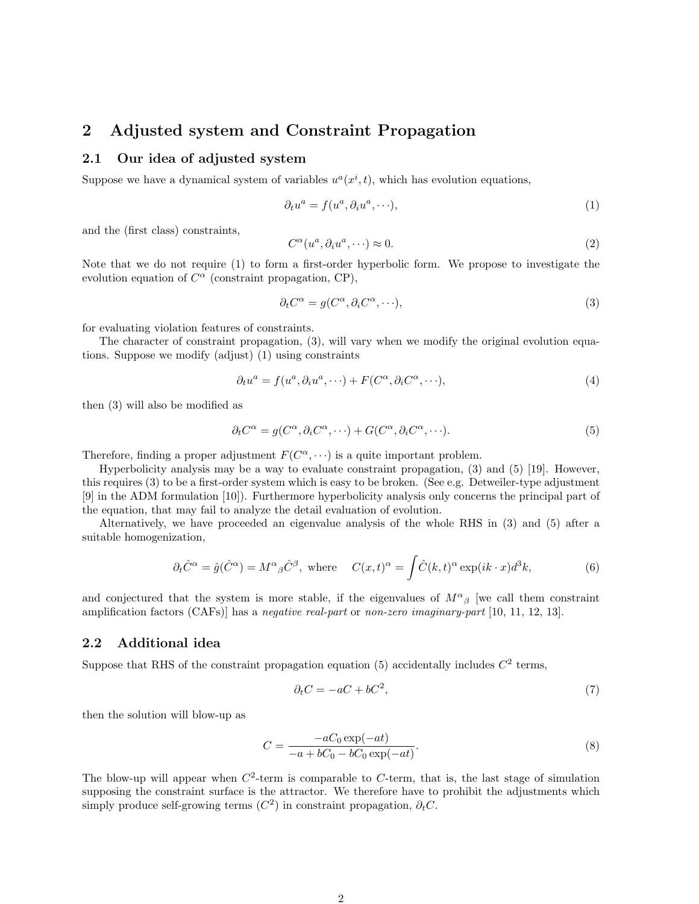## 2 Adjusted system and Constraint Propagation

#### 2.1 Our idea of adjusted system

Suppose we have a dynamical system of variables  $u^a(x^i, t)$ , which has evolution equations,

$$
\partial_t u^a = f(u^a, \partial_i u^a, \cdots), \tag{1}
$$

and the (first class) constraints,

$$
C^{\alpha}(u^a, \partial_i u^a, \cdots) \approx 0. \tag{2}
$$

Note that we do not require (1) to form a first-order hyperbolic form. We propose to investigate the evolution equation of  $C^{\alpha}$  (constraint propagation, CP),

$$
\partial_t C^{\alpha} = g(C^{\alpha}, \partial_i C^{\alpha}, \cdots), \tag{3}
$$

for evaluating violation features of constraints.

The character of constraint propagation, (3), will vary when we modify the original evolution equations. Suppose we modify (adjust) (1) using constraints

$$
\partial_t u^a = f(u^a, \partial_i u^a, \cdots) + F(C^{\alpha}, \partial_i C^{\alpha}, \cdots), \tag{4}
$$

then (3) will also be modified as

$$
\partial_t C^{\alpha} = g(C^{\alpha}, \partial_i C^{\alpha}, \cdots) + G(C^{\alpha}, \partial_i C^{\alpha}, \cdots). \tag{5}
$$

Therefore, finding a proper adjustment  $F(C^{\alpha}, \dots)$  is a quite important problem.

Hyperbolicity analysis may be a way to evaluate constraint propagation, (3) and (5) [19]. However, this requires (3) to be a first-order system which is easy to be broken. (See e.g. Detweiler-type adjustment [9] in the ADM formulation [10]). Furthermore hyperbolicity analysis only concerns the principal part of the equation, that may fail to analyze the detail evaluation of evolution.

Alternatively, we have proceeded an eigenvalue analysis of the whole RHS in (3) and (5) after a suitable homogenization,

$$
\partial_t \hat{C}^{\alpha} = \hat{g}(\hat{C}^{\alpha}) = M^{\alpha}{}_{\beta} \hat{C}^{\beta}, \text{ where } C(x,t)^{\alpha} = \int \hat{C}(k,t)^{\alpha} \exp(ik \cdot x) d^3k,
$$
 (6)

and conjectured that the system is more stable, if the eigenvalues of  $M^{\alpha}{}_{\beta}$  [we call them constraint amplification factors (CAFs)] has a negative real-part or non-zero imaginary-part [10, 11, 12, 13].

#### 2.2 Additional idea

Suppose that RHS of the constraint propagation equation (5) accidentally includes  $C<sup>2</sup>$  terms,

$$
\partial_t C = -aC + bC^2,\tag{7}
$$

then the solution will blow-up as

$$
C = \frac{-aC_0 \exp(-at)}{-a + bC_0 - bC_0 \exp(-at)}.
$$
\n(8)

The blow-up will appear when  $C<sup>2</sup>$ -term is comparable to  $C$ -term, that is, the last stage of simulation supposing the constraint surface is the attractor. We therefore have to prohibit the adjustments which simply produce self-growing terms  $(C^2)$  in constraint propagation,  $\partial_t C$ .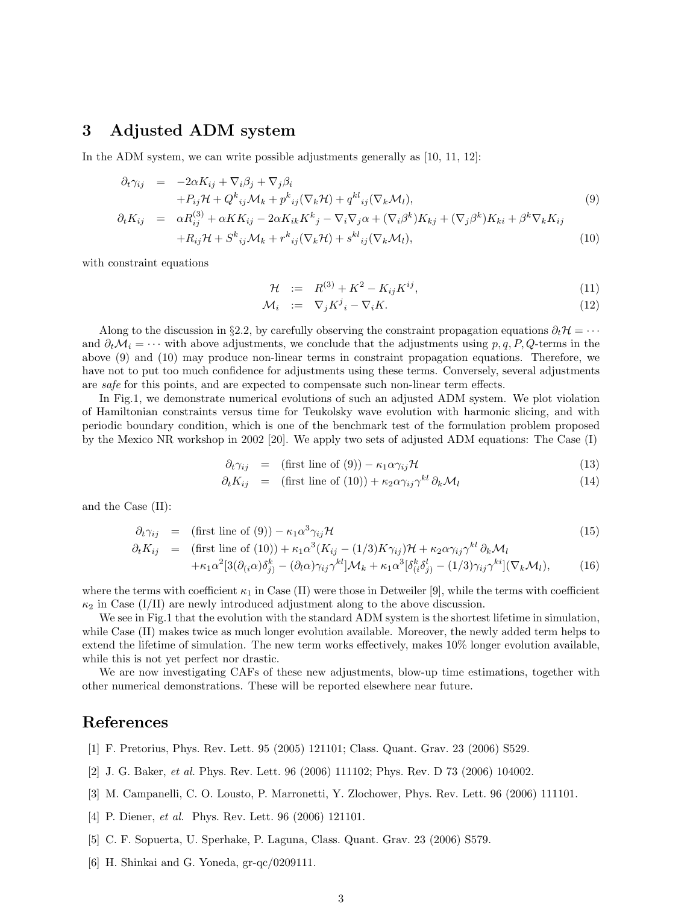## 3 Adjusted ADM system

In the ADM system, we can write possible adjustments generally as [10, 11, 12]:

$$
\partial_t \gamma_{ij} = -2\alpha K_{ij} + \nabla_i \beta_j + \nabla_j \beta_i
$$
\n
$$
+ P_{ij} \mathcal{H} + Q^k_{ij} \mathcal{M}_k + p^k_{ij} (\nabla_k \mathcal{H}) + q^{kl}_{ij} (\nabla_k \mathcal{M}_l),
$$
\n
$$
\partial_t K_{ij} = \alpha R_{ij}^{(3)} + \alpha K K_{ij} - 2\alpha K_{ik} K^k_j - \nabla_i \nabla_j \alpha + (\nabla_i \beta^k) K_{kj} + (\nabla_j \beta^k) K_{ki} + \beta^k \nabla_k K_{ij}
$$
\n
$$
+ R_{ij} \mathcal{H} + S^k_{ij} \mathcal{M}_k + r^k_{ij} (\nabla_k \mathcal{H}) + s^{kl}_{ij} (\nabla_k \mathcal{M}_l),
$$
\n(10)

with constraint equations

$$
\mathcal{H} := R^{(3)} + K^2 - K_{ij} K^{ij}, \tag{11}
$$

$$
\mathcal{M}_i \quad := \quad \nabla_j K^j{}_i - \nabla_i K. \tag{12}
$$

Along to the discussion in §2.2, by carefully observing the constraint propagation equations  $\partial_t \mathcal{H} = \cdots$ and  $\partial_t \mathcal{M}_i = \cdots$  with above adjustments, we conclude that the adjustments using  $p, q, P, Q$ -terms in the above (9) and (10) may produce non-linear terms in constraint propagation equations. Therefore, we have not to put too much confidence for adjustments using these terms. Conversely, several adjustments are safe for this points, and are expected to compensate such non-linear term effects.

In Fig.1, we demonstrate numerical evolutions of such an adjusted ADM system. We plot violation of Hamiltonian constraints versus time for Teukolsky wave evolution with harmonic slicing, and with periodic boundary condition, which is one of the benchmark test of the formulation problem proposed by the Mexico NR workshop in 2002 [20]. We apply two sets of adjusted ADM equations: The Case (I)

$$
\partial_t \gamma_{ij} = (\text{first line of (9)}) - \kappa_1 \alpha \gamma_{ij} \mathcal{H}
$$
\n(13)

$$
\partial_t K_{ij} = (\text{first line of (10)}) + \kappa_2 \alpha \gamma_{ij} \gamma^{kl} \partial_k \mathcal{M}_l \tag{14}
$$

and the Case (II):

$$
\partial_t \gamma_{ij} = (\text{first line of (9)}) - \kappa_1 \alpha^3 \gamma_{ij} \mathcal{H}
$$
\n(15)

$$
\partial_t K_{ij} = \text{(first line of (10))} + \kappa_1 \alpha^3 (K_{ij} - (1/3) K \gamma_{ij}) \mathcal{H} + \kappa_2 \alpha \gamma_{ij} \gamma^{kl} \partial_k \mathcal{M}_l + \kappa_1 \alpha^2 [3(\partial_{(i}\alpha)\delta_j^k) - (\partial_l \alpha) \gamma_{ij} \gamma^{kl}] \mathcal{M}_k + \kappa_1 \alpha^3 [\delta_{(i}\delta_j^l) - (1/3) \gamma_{ij} \gamma^{ki}] (\nabla_k \mathcal{M}_l),
$$
(16)

where the terms with coefficient  $\kappa_1$  in Case (II) were those in Detweiler [9], while the terms with coefficient  $\kappa_2$  in Case (I/II) are newly introduced adjustment along to the above discussion.

We see in Fig.1 that the evolution with the standard ADM system is the shortest lifetime in simulation, while Case (II) makes twice as much longer evolution available. Moreover, the newly added term helps to extend the lifetime of simulation. The new term works effectively, makes 10% longer evolution available, while this is not yet perfect nor drastic.

We are now investigating CAFs of these new adjustments, blow-up time estimations, together with other numerical demonstrations. These will be reported elsewhere near future.

### References

- [1] F. Pretorius, Phys. Rev. Lett. 95 (2005) 121101; Class. Quant. Grav. 23 (2006) S529.
- [2] J. G. Baker, et al. Phys. Rev. Lett. 96 (2006) 111102; Phys. Rev. D 73 (2006) 104002.
- [3] M. Campanelli, C. O. Lousto, P. Marronetti, Y. Zlochower, Phys. Rev. Lett. 96 (2006) 111101.
- [4] P. Diener, *et al.* Phys. Rev. Lett. 96 (2006) 121101.
- [5] C. F. Sopuerta, U. Sperhake, P. Laguna, Class. Quant. Grav. 23 (2006) S579.
- [6] H. Shinkai and G. Yoneda, gr-qc/0209111.